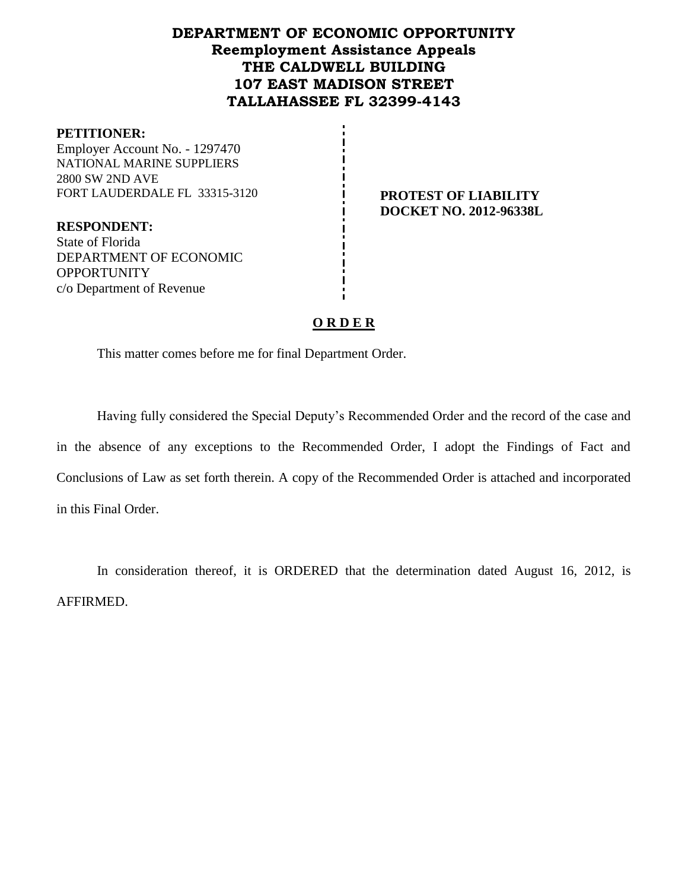## **DEPARTMENT OF ECONOMIC OPPORTUNITY Reemployment Assistance Appeals THE CALDWELL BUILDING 107 EAST MADISON STREET TALLAHASSEE FL 32399-4143**

#### **PETITIONER:**

Employer Account No. - 1297470 NATIONAL MARINE SUPPLIERS 2800 SW 2ND AVE FORT LAUDERDALE FL 33315-3120 **PROTEST OF LIABILITY** 

**RESPONDENT:** State of Florida DEPARTMENT OF ECONOMIC **OPPORTUNITY** c/o Department of Revenue

**DOCKET NO. 2012-96338L**

## **O R D E R**

This matter comes before me for final Department Order.

Having fully considered the Special Deputy's Recommended Order and the record of the case and in the absence of any exceptions to the Recommended Order, I adopt the Findings of Fact and Conclusions of Law as set forth therein. A copy of the Recommended Order is attached and incorporated in this Final Order.

In consideration thereof, it is ORDERED that the determination dated August 16, 2012, is AFFIRMED.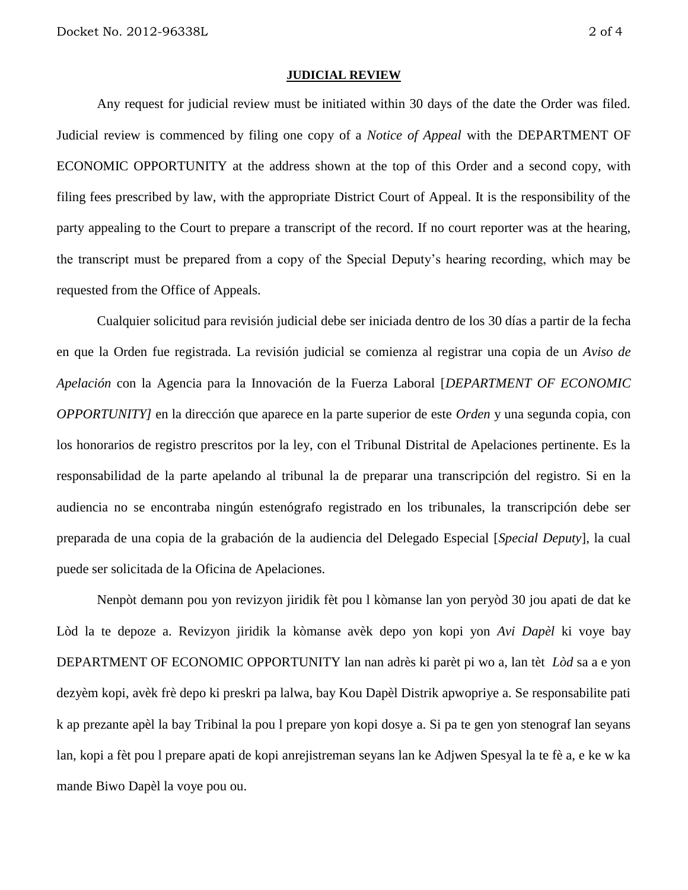#### **JUDICIAL REVIEW**

Any request for judicial review must be initiated within 30 days of the date the Order was filed. Judicial review is commenced by filing one copy of a *Notice of Appeal* with the DEPARTMENT OF ECONOMIC OPPORTUNITY at the address shown at the top of this Order and a second copy, with filing fees prescribed by law, with the appropriate District Court of Appeal. It is the responsibility of the party appealing to the Court to prepare a transcript of the record. If no court reporter was at the hearing, the transcript must be prepared from a copy of the Special Deputy's hearing recording, which may be requested from the Office of Appeals.

Cualquier solicitud para revisión judicial debe ser iniciada dentro de los 30 días a partir de la fecha en que la Orden fue registrada. La revisión judicial se comienza al registrar una copia de un *Aviso de Apelación* con la Agencia para la Innovación de la Fuerza Laboral [*DEPARTMENT OF ECONOMIC OPPORTUNITY]* en la dirección que aparece en la parte superior de este *Orden* y una segunda copia, con los honorarios de registro prescritos por la ley, con el Tribunal Distrital de Apelaciones pertinente. Es la responsabilidad de la parte apelando al tribunal la de preparar una transcripción del registro. Si en la audiencia no se encontraba ningún estenógrafo registrado en los tribunales, la transcripción debe ser preparada de una copia de la grabación de la audiencia del Delegado Especial [*Special Deputy*], la cual puede ser solicitada de la Oficina de Apelaciones.

Nenpòt demann pou yon revizyon jiridik fèt pou l kòmanse lan yon peryòd 30 jou apati de dat ke Lòd la te depoze a. Revizyon jiridik la kòmanse avèk depo yon kopi yon *Avi Dapèl* ki voye bay DEPARTMENT OF ECONOMIC OPPORTUNITY lan nan adrès ki parèt pi wo a, lan tèt *Lòd* sa a e yon dezyèm kopi, avèk frè depo ki preskri pa lalwa, bay Kou Dapèl Distrik apwopriye a. Se responsabilite pati k ap prezante apèl la bay Tribinal la pou l prepare yon kopi dosye a. Si pa te gen yon stenograf lan seyans lan, kopi a fèt pou l prepare apati de kopi anrejistreman seyans lan ke Adjwen Spesyal la te fè a, e ke w ka mande Biwo Dapèl la voye pou ou.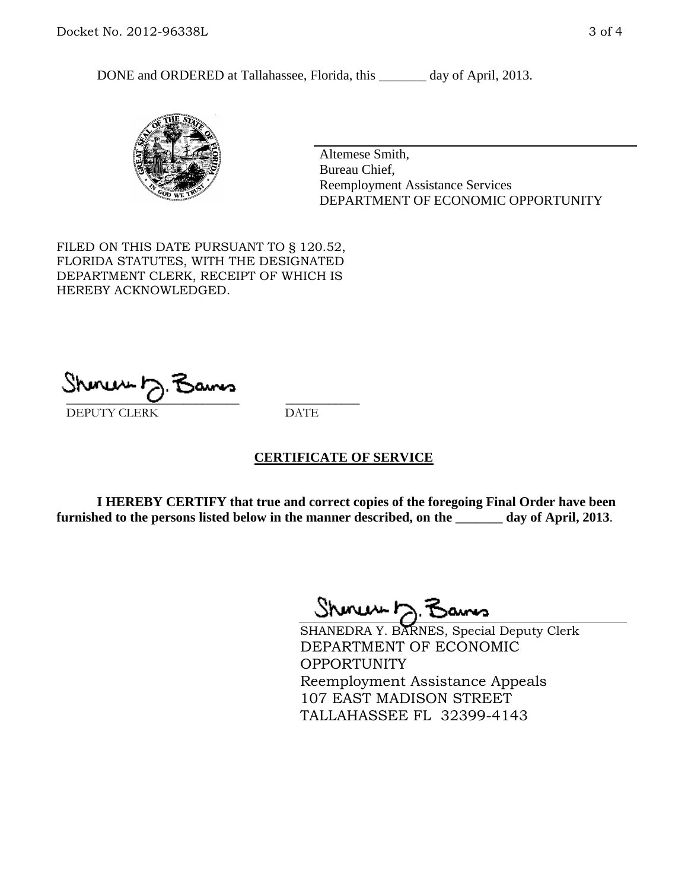DONE and ORDERED at Tallahassee, Florida, this \_\_\_\_\_\_\_ day of April, 2013.



Altemese Smith, Bureau Chief, Reemployment Assistance Services DEPARTMENT OF ECONOMIC OPPORTUNITY

FILED ON THIS DATE PURSUANT TO § 120.52, FLORIDA STATUTES, WITH THE DESIGNATED DEPARTMENT CLERK, RECEIPT OF WHICH IS HEREBY ACKNOWLEDGED.

 $\overline{\phantom{a}}$  ,  $\overline{\phantom{a}}$  ,  $\overline{\phantom{a}}$  ,  $\overline{\phantom{a}}$  ,  $\overline{\phantom{a}}$  ,  $\overline{\phantom{a}}$  ,  $\overline{\phantom{a}}$  ,  $\overline{\phantom{a}}$ DEPUTY CLERK DATE

### **CERTIFICATE OF SERVICE**

**I HEREBY CERTIFY that true and correct copies of the foregoing Final Order have been furnished to the persons listed below in the manner described, on the \_\_\_\_\_\_\_ day of April, 2013**.

 $ShmumE, F$ 

SHANEDRA Y. BARNES, Special Deputy Clerk DEPARTMENT OF ECONOMIC **OPPORTUNITY** Reemployment Assistance Appeals 107 EAST MADISON STREET TALLAHASSEE FL 32399-4143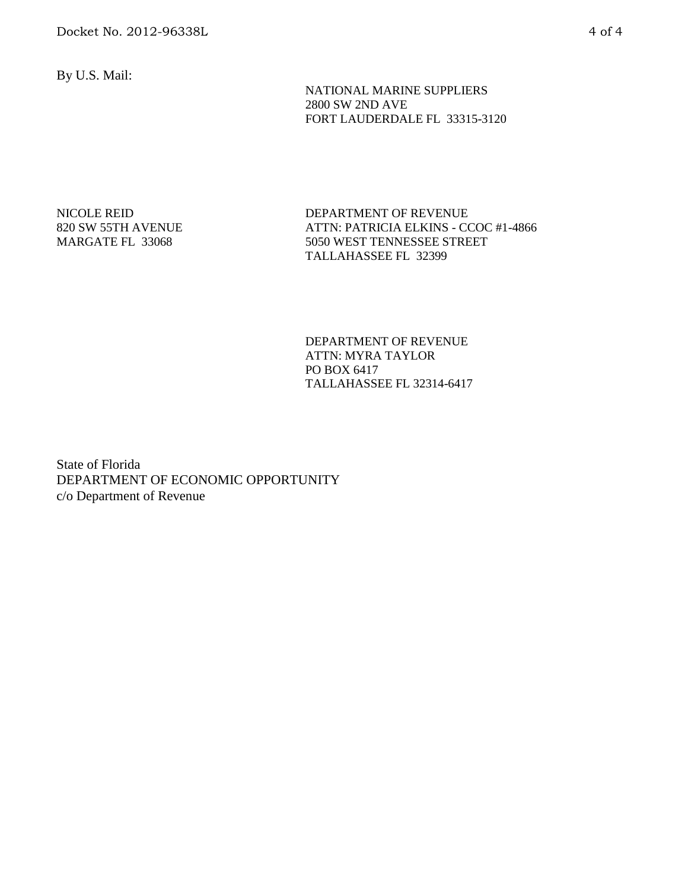By U.S. Mail:

 NATIONAL MARINE SUPPLIERS 2800 SW 2ND AVE FORT LAUDERDALE FL 33315-3120

NICOLE REID 820 SW 55TH AVENUE MARGATE FL 33068

DEPARTMENT OF REVENUE ATTN: PATRICIA ELKINS - CCOC #1-4866 5050 WEST TENNESSEE STREET TALLAHASSEE FL 32399

DEPARTMENT OF REVENUE ATTN: MYRA TAYLOR PO BOX 6417 TALLAHASSEE FL 32314-6417

State of Florida DEPARTMENT OF ECONOMIC OPPORTUNITY c/o Department of Revenue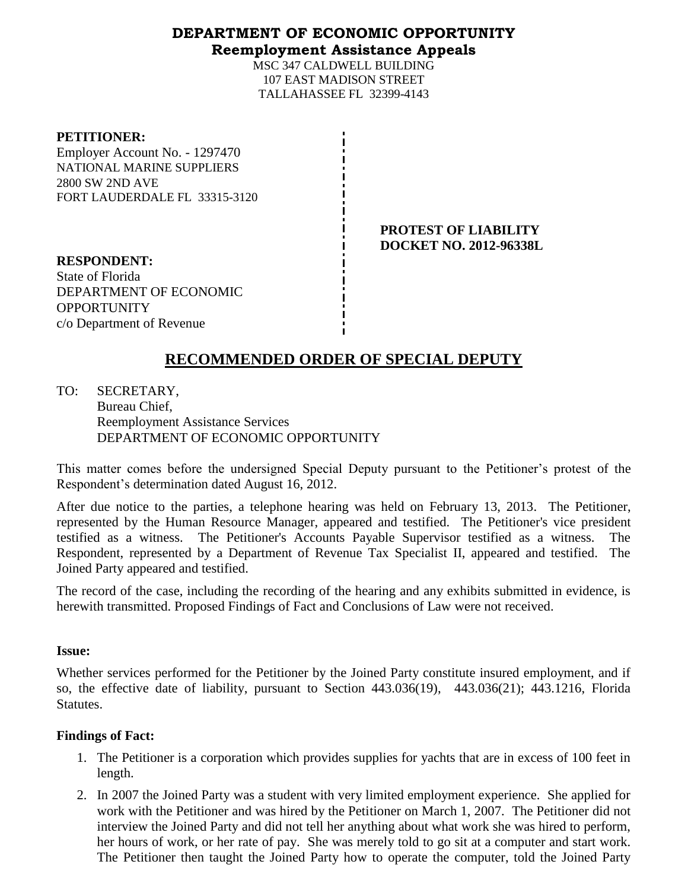## **DEPARTMENT OF ECONOMIC OPPORTUNITY Reemployment Assistance Appeals**

MSC 347 CALDWELL BUILDING 107 EAST MADISON STREET TALLAHASSEE FL 32399-4143

#### **PETITIONER:**

Employer Account No. - 1297470 NATIONAL MARINE SUPPLIERS 2800 SW 2ND AVE FORT LAUDERDALE FL 33315-3120

> **PROTEST OF LIABILITY DOCKET NO. 2012-96338L**

**RESPONDENT:** State of Florida DEPARTMENT OF ECONOMIC **OPPORTUNITY** c/o Department of Revenue

# **RECOMMENDED ORDER OF SPECIAL DEPUTY**

TO: SECRETARY, Bureau Chief, Reemployment Assistance Services DEPARTMENT OF ECONOMIC OPPORTUNITY

This matter comes before the undersigned Special Deputy pursuant to the Petitioner's protest of the Respondent's determination dated August 16, 2012.

After due notice to the parties, a telephone hearing was held on February 13, 2013. The Petitioner, represented by the Human Resource Manager, appeared and testified. The Petitioner's vice president testified as a witness. The Petitioner's Accounts Payable Supervisor testified as a witness. The Respondent, represented by a Department of Revenue Tax Specialist II, appeared and testified. The Joined Party appeared and testified.

The record of the case, including the recording of the hearing and any exhibits submitted in evidence, is herewith transmitted. Proposed Findings of Fact and Conclusions of Law were not received.

### **Issue:**

Whether services performed for the Petitioner by the Joined Party constitute insured employment, and if so, the effective date of liability, pursuant to Section 443.036(19), 443.036(21); 443.1216, Florida Statutes.

### **Findings of Fact:**

- 1. The Petitioner is a corporation which provides supplies for yachts that are in excess of 100 feet in length.
- 2. In 2007 the Joined Party was a student with very limited employment experience. She applied for work with the Petitioner and was hired by the Petitioner on March 1, 2007. The Petitioner did not interview the Joined Party and did not tell her anything about what work she was hired to perform, her hours of work, or her rate of pay. She was merely told to go sit at a computer and start work. The Petitioner then taught the Joined Party how to operate the computer, told the Joined Party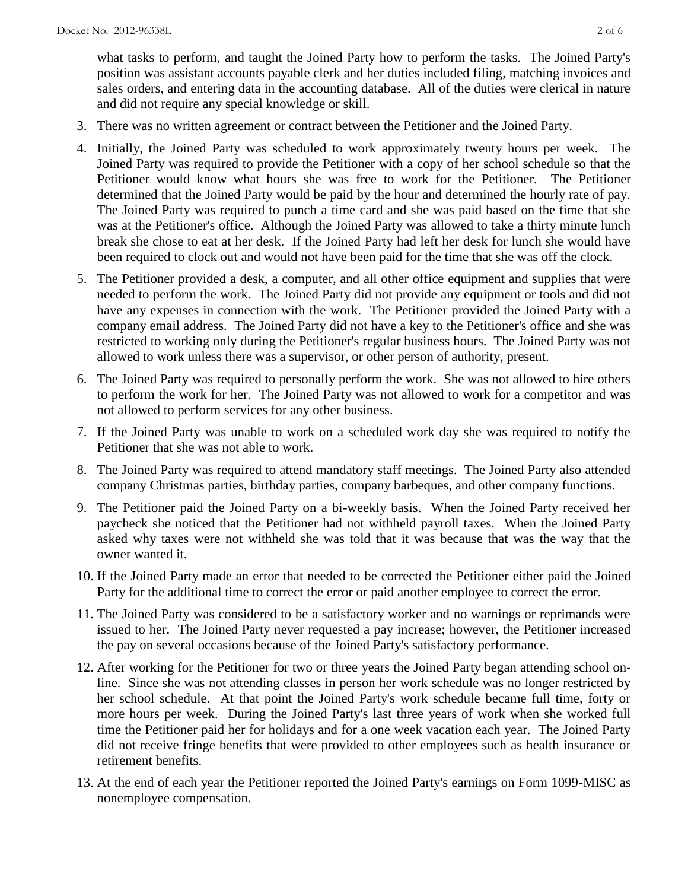what tasks to perform, and taught the Joined Party how to perform the tasks. The Joined Party's position was assistant accounts payable clerk and her duties included filing, matching invoices and sales orders, and entering data in the accounting database. All of the duties were clerical in nature and did not require any special knowledge or skill.

- 3. There was no written agreement or contract between the Petitioner and the Joined Party.
- 4. Initially, the Joined Party was scheduled to work approximately twenty hours per week. The Joined Party was required to provide the Petitioner with a copy of her school schedule so that the Petitioner would know what hours she was free to work for the Petitioner. The Petitioner determined that the Joined Party would be paid by the hour and determined the hourly rate of pay. The Joined Party was required to punch a time card and she was paid based on the time that she was at the Petitioner's office. Although the Joined Party was allowed to take a thirty minute lunch break she chose to eat at her desk. If the Joined Party had left her desk for lunch she would have been required to clock out and would not have been paid for the time that she was off the clock.
- 5. The Petitioner provided a desk, a computer, and all other office equipment and supplies that were needed to perform the work. The Joined Party did not provide any equipment or tools and did not have any expenses in connection with the work. The Petitioner provided the Joined Party with a company email address. The Joined Party did not have a key to the Petitioner's office and she was restricted to working only during the Petitioner's regular business hours. The Joined Party was not allowed to work unless there was a supervisor, or other person of authority, present.
- 6. The Joined Party was required to personally perform the work. She was not allowed to hire others to perform the work for her. The Joined Party was not allowed to work for a competitor and was not allowed to perform services for any other business.
- 7. If the Joined Party was unable to work on a scheduled work day she was required to notify the Petitioner that she was not able to work.
- 8. The Joined Party was required to attend mandatory staff meetings. The Joined Party also attended company Christmas parties, birthday parties, company barbeques, and other company functions.
- 9. The Petitioner paid the Joined Party on a bi-weekly basis. When the Joined Party received her paycheck she noticed that the Petitioner had not withheld payroll taxes. When the Joined Party asked why taxes were not withheld she was told that it was because that was the way that the owner wanted it.
- 10. If the Joined Party made an error that needed to be corrected the Petitioner either paid the Joined Party for the additional time to correct the error or paid another employee to correct the error.
- 11. The Joined Party was considered to be a satisfactory worker and no warnings or reprimands were issued to her. The Joined Party never requested a pay increase; however, the Petitioner increased the pay on several occasions because of the Joined Party's satisfactory performance.
- 12. After working for the Petitioner for two or three years the Joined Party began attending school online. Since she was not attending classes in person her work schedule was no longer restricted by her school schedule. At that point the Joined Party's work schedule became full time, forty or more hours per week. During the Joined Party's last three years of work when she worked full time the Petitioner paid her for holidays and for a one week vacation each year. The Joined Party did not receive fringe benefits that were provided to other employees such as health insurance or retirement benefits.
- 13. At the end of each year the Petitioner reported the Joined Party's earnings on Form 1099-MISC as nonemployee compensation.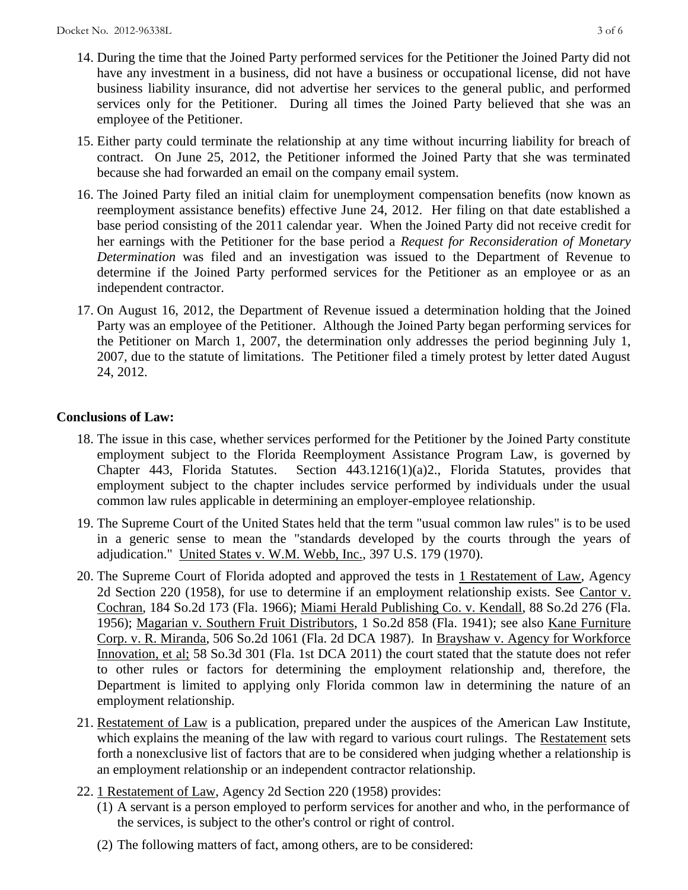- 14. During the time that the Joined Party performed services for the Petitioner the Joined Party did not have any investment in a business, did not have a business or occupational license, did not have business liability insurance, did not advertise her services to the general public, and performed services only for the Petitioner. During all times the Joined Party believed that she was an employee of the Petitioner.
- 15. Either party could terminate the relationship at any time without incurring liability for breach of contract. On June 25, 2012, the Petitioner informed the Joined Party that she was terminated because she had forwarded an email on the company email system.
- 16. The Joined Party filed an initial claim for unemployment compensation benefits (now known as reemployment assistance benefits) effective June 24, 2012. Her filing on that date established a base period consisting of the 2011 calendar year. When the Joined Party did not receive credit for her earnings with the Petitioner for the base period a *Request for Reconsideration of Monetary Determination* was filed and an investigation was issued to the Department of Revenue to determine if the Joined Party performed services for the Petitioner as an employee or as an independent contractor.
- 17. On August 16, 2012, the Department of Revenue issued a determination holding that the Joined Party was an employee of the Petitioner. Although the Joined Party began performing services for the Petitioner on March 1, 2007, the determination only addresses the period beginning July 1, 2007, due to the statute of limitations. The Petitioner filed a timely protest by letter dated August 24, 2012.

## **Conclusions of Law:**

- 18. The issue in this case, whether services performed for the Petitioner by the Joined Party constitute employment subject to the Florida Reemployment Assistance Program Law, is governed by Chapter 443, Florida Statutes. Section 443.1216(1)(a)2., Florida Statutes, provides that employment subject to the chapter includes service performed by individuals under the usual common law rules applicable in determining an employer-employee relationship.
- 19. The Supreme Court of the United States held that the term "usual common law rules" is to be used in a generic sense to mean the "standards developed by the courts through the years of adjudication." United States v. W.M. Webb, Inc., 397 U.S. 179 (1970).
- 20. The Supreme Court of Florida adopted and approved the tests in 1 Restatement of Law, Agency 2d Section 220 (1958), for use to determine if an employment relationship exists. See Cantor v. Cochran, 184 So.2d 173 (Fla. 1966); Miami Herald Publishing Co. v. Kendall, 88 So.2d 276 (Fla. 1956); Magarian v. Southern Fruit Distributors, 1 So.2d 858 (Fla. 1941); see also Kane Furniture Corp. v. R. Miranda, 506 So.2d 1061 (Fla. 2d DCA 1987). In Brayshaw v. Agency for Workforce Innovation, et al; 58 So.3d 301 (Fla. 1st DCA 2011) the court stated that the statute does not refer to other rules or factors for determining the employment relationship and, therefore, the Department is limited to applying only Florida common law in determining the nature of an employment relationship.
- 21. Restatement of Law is a publication, prepared under the auspices of the American Law Institute, which explains the meaning of the law with regard to various court rulings. The Restatement sets forth a nonexclusive list of factors that are to be considered when judging whether a relationship is an employment relationship or an independent contractor relationship.
- 22. 1 Restatement of Law, Agency 2d Section 220 (1958) provides:
	- (1) A servant is a person employed to perform services for another and who, in the performance of the services, is subject to the other's control or right of control.
	- (2) The following matters of fact, among others, are to be considered: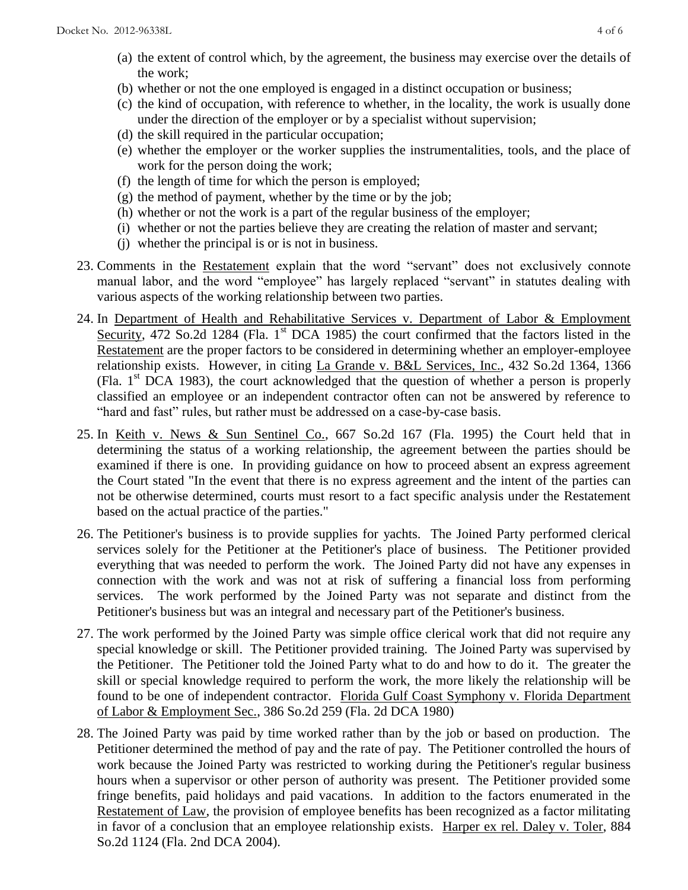- (a) the extent of control which, by the agreement, the business may exercise over the details of the work;
- (b) whether or not the one employed is engaged in a distinct occupation or business;
- (c) the kind of occupation, with reference to whether, in the locality, the work is usually done under the direction of the employer or by a specialist without supervision;
- (d) the skill required in the particular occupation;
- (e) whether the employer or the worker supplies the instrumentalities, tools, and the place of work for the person doing the work;
- (f) the length of time for which the person is employed;
- (g) the method of payment, whether by the time or by the job;
- (h) whether or not the work is a part of the regular business of the employer;
- (i) whether or not the parties believe they are creating the relation of master and servant;
- (j) whether the principal is or is not in business.
- 23. Comments in the Restatement explain that the word "servant" does not exclusively connote manual labor, and the word "employee" has largely replaced "servant" in statutes dealing with various aspects of the working relationship between two parties.
- 24. In Department of Health and Rehabilitative Services v. Department of Labor & Employment Security, 472 So.2d 1284 (Fla.  $1<sup>st</sup>$  DCA 1985) the court confirmed that the factors listed in the Restatement are the proper factors to be considered in determining whether an employer-employee relationship exists. However, in citing La Grande v. B&L Services, Inc., 432 So.2d 1364, 1366 (Fla.  $1<sup>st</sup> DCA$  1983), the court acknowledged that the question of whether a person is properly classified an employee or an independent contractor often can not be answered by reference to "hard and fast" rules, but rather must be addressed on a case-by-case basis.
- 25. In Keith v. News & Sun Sentinel Co., 667 So.2d 167 (Fla. 1995) the Court held that in determining the status of a working relationship, the agreement between the parties should be examined if there is one. In providing guidance on how to proceed absent an express agreement the Court stated "In the event that there is no express agreement and the intent of the parties can not be otherwise determined, courts must resort to a fact specific analysis under the Restatement based on the actual practice of the parties."
- 26. The Petitioner's business is to provide supplies for yachts. The Joined Party performed clerical services solely for the Petitioner at the Petitioner's place of business. The Petitioner provided everything that was needed to perform the work. The Joined Party did not have any expenses in connection with the work and was not at risk of suffering a financial loss from performing services. The work performed by the Joined Party was not separate and distinct from the Petitioner's business but was an integral and necessary part of the Petitioner's business.
- 27. The work performed by the Joined Party was simple office clerical work that did not require any special knowledge or skill. The Petitioner provided training. The Joined Party was supervised by the Petitioner. The Petitioner told the Joined Party what to do and how to do it. The greater the skill or special knowledge required to perform the work, the more likely the relationship will be found to be one of independent contractor. Florida Gulf Coast Symphony v. Florida Department of Labor & Employment Sec., 386 So.2d 259 (Fla. 2d DCA 1980)
- 28. The Joined Party was paid by time worked rather than by the job or based on production. The Petitioner determined the method of pay and the rate of pay. The Petitioner controlled the hours of work because the Joined Party was restricted to working during the Petitioner's regular business hours when a supervisor or other person of authority was present. The Petitioner provided some fringe benefits, paid holidays and paid vacations. In addition to the factors enumerated in the Restatement of Law, the provision of employee benefits has been recognized as a factor militating in favor of a conclusion that an employee relationship exists. Harper ex rel. Daley v. Toler, 884 So.2d 1124 (Fla. 2nd DCA 2004).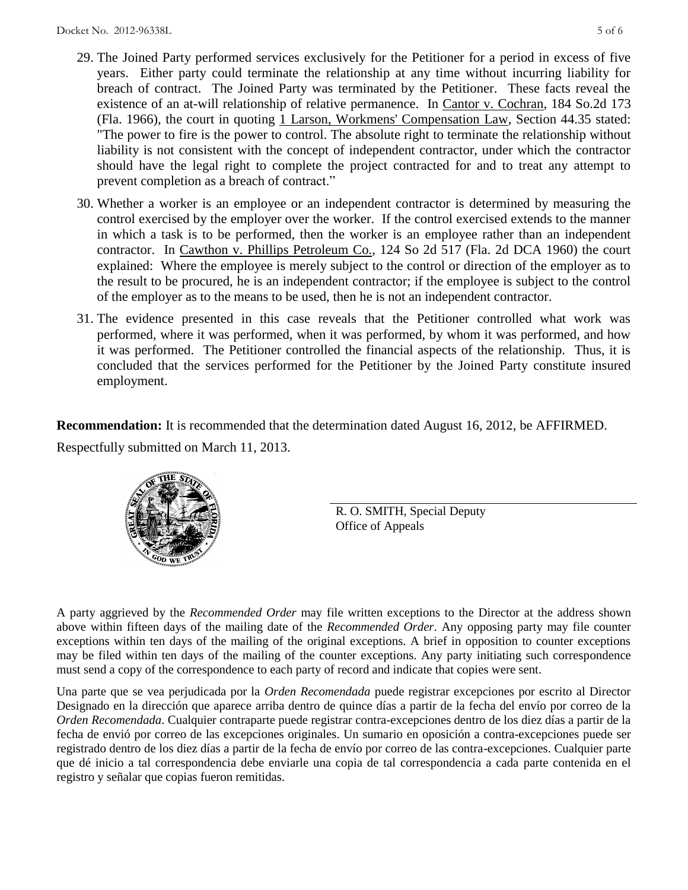- 29. The Joined Party performed services exclusively for the Petitioner for a period in excess of five years. Either party could terminate the relationship at any time without incurring liability for breach of contract. The Joined Party was terminated by the Petitioner. These facts reveal the existence of an at-will relationship of relative permanence. In Cantor v. Cochran, 184 So.2d 173 (Fla. 1966), the court in quoting 1 Larson, Workmens' Compensation Law, Section 44.35 stated: "The power to fire is the power to control. The absolute right to terminate the relationship without liability is not consistent with the concept of independent contractor, under which the contractor should have the legal right to complete the project contracted for and to treat any attempt to prevent completion as a breach of contract."
- 30. Whether a worker is an employee or an independent contractor is determined by measuring the control exercised by the employer over the worker. If the control exercised extends to the manner in which a task is to be performed, then the worker is an employee rather than an independent contractor. In Cawthon v. Phillips Petroleum Co., 124 So 2d 517 (Fla. 2d DCA 1960) the court explained: Where the employee is merely subject to the control or direction of the employer as to the result to be procured, he is an independent contractor; if the employee is subject to the control of the employer as to the means to be used, then he is not an independent contractor.
- 31. The evidence presented in this case reveals that the Petitioner controlled what work was performed, where it was performed, when it was performed, by whom it was performed, and how it was performed. The Petitioner controlled the financial aspects of the relationship. Thus, it is concluded that the services performed for the Petitioner by the Joined Party constitute insured employment.

**Recommendation:** It is recommended that the determination dated August 16, 2012, be AFFIRMED. Respectfully submitted on March 11, 2013.



R. O. SMITH, Special Deputy Office of Appeals

A party aggrieved by the *Recommended Order* may file written exceptions to the Director at the address shown above within fifteen days of the mailing date of the *Recommended Order*. Any opposing party may file counter exceptions within ten days of the mailing of the original exceptions. A brief in opposition to counter exceptions may be filed within ten days of the mailing of the counter exceptions. Any party initiating such correspondence must send a copy of the correspondence to each party of record and indicate that copies were sent.

Una parte que se vea perjudicada por la *Orden Recomendada* puede registrar excepciones por escrito al Director Designado en la dirección que aparece arriba dentro de quince días a partir de la fecha del envío por correo de la *Orden Recomendada*. Cualquier contraparte puede registrar contra-excepciones dentro de los diez días a partir de la fecha de envió por correo de las excepciones originales. Un sumario en oposición a contra-excepciones puede ser registrado dentro de los diez días a partir de la fecha de envío por correo de las contra-excepciones. Cualquier parte que dé inicio a tal correspondencia debe enviarle una copia de tal correspondencia a cada parte contenida en el registro y señalar que copias fueron remitidas.